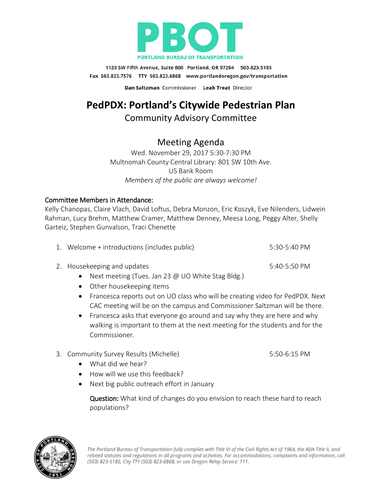

1120 SW Fifth Avenue, Suite 800 Portland, OR 97204 503.823.5185 Fax 503.823.7576 TTY 503.823.6868 www.portlandoregon.gov/transportation Dan Saltzman Commissioner Leah Treat Director

# **PedPDX: Portland's Citywide Pedestrian Plan**

# Community Advisory Committee

# Meeting Agenda

Wed. November 29, 2017 5:30-7:30 PM Multnomah County Central Library: 801 SW 10th Ave. US Bank Room *Members of the public are always welcome!*

#### Committee Members in Attendance:

Kelly Chanopas, Claire Vlach, David Loftus, Debra Monzon, Eric Koszyk, Eve Nilenders, Lidwein Rahman, Lucy Brehm, Matthew Cramer, Matthew Denney, Meesa Long, Peggy Alter, Shelly Garteiz, Stephen Gunvalson, Traci Chenette

| 1. Welcome + introductions (includes public) | 5:30-5:40 PM |
|----------------------------------------------|--------------|
| 2. Housekeeping and updates                  | 5:40-5:50 PM |

- Next meeting (Tues. Jan 23 @ UO White Stag Bldg.)
- Other housekeeping items
- Francesca reports out on UO class who will be creating video for PedPDX. Next CAC meeting will be on the campus and Commissioner Saltzman will be there.
- Francesca asks that everyone go around and say why they are here and why walking is important to them at the next meeting for the students and for the Commissioner.
- 3. Community Survey Results (Michelle) 5:50-6:15 PM

- What did we hear?
- How will we use this feedback?
- Next big public outreach effort in January

Question: What kind of changes do you envision to reach these hard to reach populations?

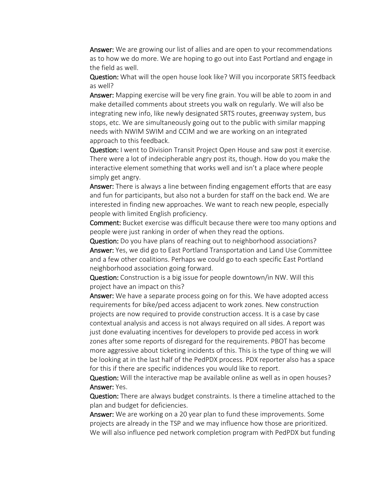Answer: We are growing our list of allies and are open to your recommendations as to how we do more. We are hoping to go out into East Portland and engage in the field as well.

Question: What will the open house look like? Will you incorporate SRTS feedback as well?

Answer: Mapping exercise will be very fine grain. You will be able to zoom in and make detailled comments about streets you walk on regularly. We will also be integrating new info, like newly designated SRTS routes, greenway system, bus stops, etc. We are simultaneously going out to the public with similar mapping needs with NWIM SWIM and CCIM and we are working on an integrated approach to this feedback.

Question: I went to Division Transit Project Open House and saw post it exercise. There were a lot of indecipherable angry post its, though. How do you make the interactive element something that works well and isn't a place where people simply get angry.

Answer: There is always a line between finding engagement efforts that are easy and fun for participants, but also not a burden for staff on the back end. We are interested in finding new approaches. We want to reach new people, especially people with limited English proficiency.

Comment: Bucket exercise was difficult because there were too many options and people were just ranking in order of when they read the options.

Question: Do you have plans of reaching out to neighborhood associations? Answer: Yes, we did go to East Portland Transportation and Land Use Committee and a few other coalitions. Perhaps we could go to each specific East Portland neighborhood association going forward.

Question: Construction is a big issue for people downtown/in NW. Will this project have an impact on this?

Answer: We have a separate process going on for this. We have adopted access requirements for bike/ped access adjacent to work zones. New construction projects are now required to provide construction access. It is a case by case contextual analysis and access is not always required on all sides. A report was just done evaluating incentives for developers to provide ped access in work zones after some reports of disregard for the requirements. PBOT has become more aggressive about ticketing incidents of this. This is the type of thing we will be looking at in the last half of the PedPDX process. PDX reporter also has a space for this if there are specific indidences you would like to report.

Question: Will the interactive map be available online as well as in open houses? Answer: Yes.

Question: There are always budget constraints. Is there a timeline attached to the plan and budget for deficiencies.

Answer: We are working on a 20 year plan to fund these improvements. Some projects are already in the TSP and we may influence how those are prioritized. We will also influence ped network completion program with PedPDX but funding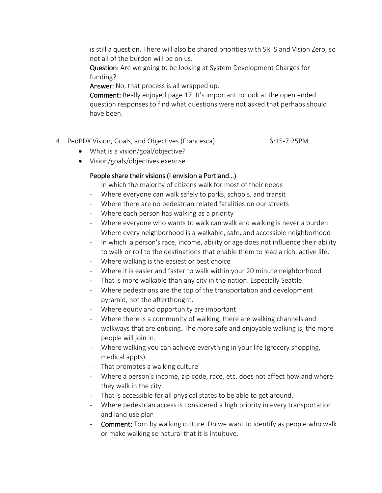is still a question. There will also be shared priorities with SRTS and Vision Zero, so not all of the burden will be on us.

Question: Are we going to be looking at System Development Charges for funding?

Answer: No, that process is all wrapped up.

Comment: Really enjoyed page 17. It's important to look at the open ended question responses to find what questions were not asked that perhaps should have been.

4. PedPDX Vision, Goals, and Objectives (Francesca) 6:15-7:25PM

- What is a vision/goal/objective?
- Vision/goals/objectives exercise

#### People share their visions (I envision a Portland…)

- In which the majority of citizens walk for most of their needs
- Where everyone can walk safely to parks, schools, and transit
- Where there are no pedestrian related fatalities on our streets
- Where each person has walking as a priority
- Where everyone who wants to walk can walk and walking is never a burden
- Where every neighborhood is a walkable, safe, and accessible neighborhood
- In which a person's race, income, ability or age does not influence their ability to walk or roll to the destinations that enable them to lead a rich, active life.
- Where walking is the easiest or best choice
- Where it is easier and faster to walk within your 20 minute neighborhood
- That is more walkable than any city in the nation. Especially Seattle.
- Where pedestrians are the top of the transportation and development pyramid, not the afterthought.
- Where equity and opportunity are important
- Where there is a community of walking, there are walking channels and walkways that are enticing. The more safe and enjoyable walking is, the more people will join in.
- Where walking you can achieve everything in your life (grocery shopping, medical appts).
- That promotes a walking culture
- Where a person's income, zip code, race, etc. does not affect how and where they walk in the city.
- That is accessible for all physical states to be able to get around.
- Where pedestrian access is considered a high priority in every transportation and land use plan
- Comment: Torn by walking culture. Do we want to identify as people who walk or make walking so natural that it is intuituve.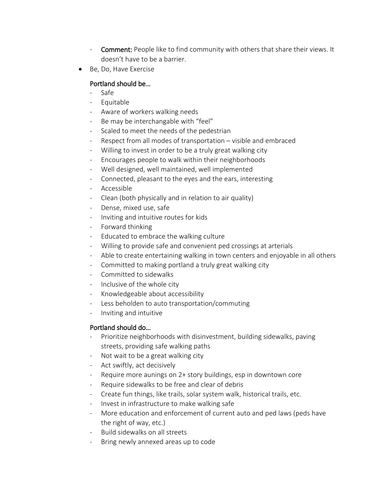- Comment: People like to find community with others that share their views. It doesn't have to be a barrier.
- Be, Do, Have Exercise

#### Portland should be…

- Safe
- Equitable
- Aware of workers walking needs
- Be may be interchangable with "feel"
- Scaled to meet the needs of the pedestrian
- Respect from all modes of transportation visible and embraced
- Willing to invest in order to be a truly great walking city
- Encourages people to walk within their neighborhoods
- Well designed, well maintained, well implemented
- Connected, pleasant to the eyes and the ears, interesting
- Accessible
- Clean (both physically and in relation to air quality)
- Dense, mixed use, safe
- Inviting and intuitive routes for kids
- Forward thinking
- Educated to embrace the walking culture
- Willing to provide safe and convenient ped crossings at arterials
- Able to create entertaining walking in town centers and enjoyable in all others
- Committed to making portland a truly great walking city
- Committed to sidewalks
- Inclusive of the whole city
- Knowledgeable about accessibility
- Less beholden to auto transportation/commuting
- Inviting and intuitive

### Portland should do…

- Prioritize neighborhoods with disinvestment, building sidewalks, paving streets, providing safe walking paths
- Not wait to be a great walking city
- Act swiftly, act decisively
- Require more aunings on 2+ story buildings, esp in downtown core
- Require sidewalks to be free and clear of debris
- Create fun things, like trails, solar system walk, historical trails, etc.
- Invest in infrastructure to make walking safe
- More education and enforcement of current auto and ped laws (peds have the right of way, etc.)
- Build sidewalks on all streets
- Bring newly annexed areas up to code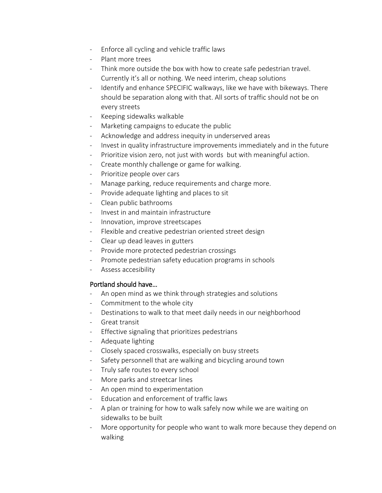- Enforce all cycling and vehicle traffic laws
- Plant more trees
- Think more outside the box with how to create safe pedestrian travel. Currently it's all or nothing. We need interim, cheap solutions
- Identify and enhance SPECIFIC walkways, like we have with bikeways. There should be separation along with that. All sorts of traffic should not be on every streets
- Keeping sidewalks walkable
- Marketing campaigns to educate the public
- Acknowledge and address inequity in underserved areas
- Invest in quality infrastructure improvements immediately and in the future
- Prioritize vision zero, not just with words but with meaningful action.
- Create monthly challenge or game for walking.
- Prioritize people over cars
- Manage parking, reduce requirements and charge more.
- Provide adequate lighting and places to sit
- Clean public bathrooms
- Invest in and maintain infrastructure
- Innovation, improve streetscapes
- Flexible and creative pedestrian oriented street design
- Clear up dead leaves in gutters
- Provide more protected pedestrian crossings
- Promote pedestrian safety education programs in schools
- Assess accesibility

### Portland should have…

- An open mind as we think through strategies and solutions
- Commitment to the whole city
- Destinations to walk to that meet daily needs in our neighborhood
- Great transit
- Effective signaling that prioritizes pedestrians
- Adequate lighting
- Closely spaced crosswalks, especially on busy streets
- Safety personnell that are walking and bicycling around town
- Truly safe routes to every school
- More parks and streetcar lines
- An open mind to experimentation
- Education and enforcement of traffic laws
- A plan or training for how to walk safely now while we are waiting on sidewalks to be built
- More opportunity for people who want to walk more because they depend on walking